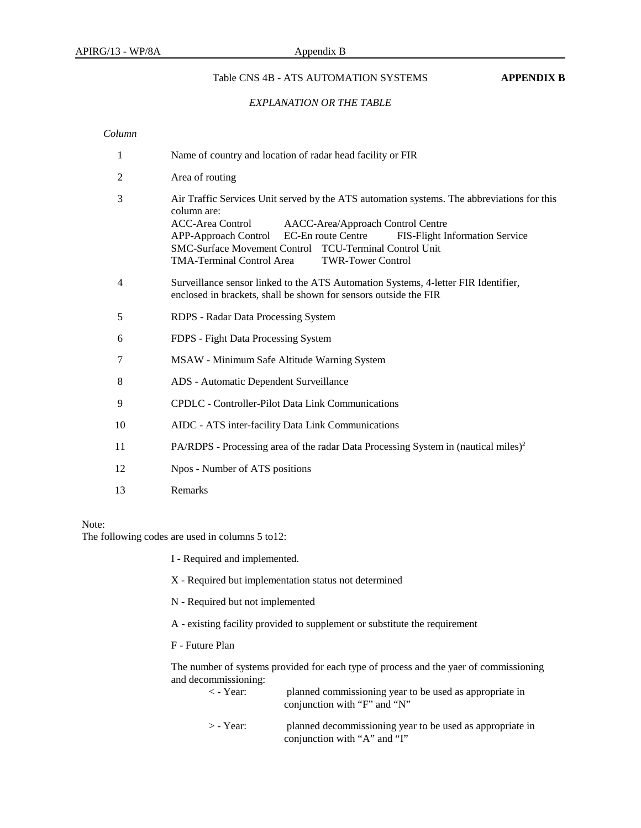#### Table CNS 4B - ATS AUTOMATION SYSTEMS **APPENDIX B**

#### *EXPLANATION OR THE TABLE*

# *Column*

| $\mathbf{1}$   | Name of country and location of radar head facility or FIR                                                                                                                                                                                                                                                                                                                          |  |  |  |  |  |  |  |
|----------------|-------------------------------------------------------------------------------------------------------------------------------------------------------------------------------------------------------------------------------------------------------------------------------------------------------------------------------------------------------------------------------------|--|--|--|--|--|--|--|
| 2              | Area of routing                                                                                                                                                                                                                                                                                                                                                                     |  |  |  |  |  |  |  |
| 3              | Air Traffic Services Unit served by the ATS automation systems. The abbreviations for this<br>column are:<br><b>ACC-Area Control</b><br>AACC-Area/Approach Control Centre<br>EC-En route Centre<br><b>APP-Approach Control</b><br>FIS-Flight Information Service<br>SMC-Surface Movement Control TCU-Terminal Control Unit<br>TMA-Terminal Control Area<br><b>TWR-Tower Control</b> |  |  |  |  |  |  |  |
| $\overline{4}$ | Surveillance sensor linked to the ATS Automation Systems, 4-letter FIR Identifier,<br>enclosed in brackets, shall be shown for sensors outside the FIR                                                                                                                                                                                                                              |  |  |  |  |  |  |  |
| 5              | RDPS - Radar Data Processing System                                                                                                                                                                                                                                                                                                                                                 |  |  |  |  |  |  |  |
| 6              | FDPS - Fight Data Processing System                                                                                                                                                                                                                                                                                                                                                 |  |  |  |  |  |  |  |
| 7              | MSAW - Minimum Safe Altitude Warning System                                                                                                                                                                                                                                                                                                                                         |  |  |  |  |  |  |  |
| 8              | ADS - Automatic Dependent Surveillance                                                                                                                                                                                                                                                                                                                                              |  |  |  |  |  |  |  |
| 9              | <b>CPDLC</b> - Controller-Pilot Data Link Communications                                                                                                                                                                                                                                                                                                                            |  |  |  |  |  |  |  |
| 10             | AIDC - ATS inter-facility Data Link Communications                                                                                                                                                                                                                                                                                                                                  |  |  |  |  |  |  |  |
| 11             | PA/RDPS - Processing area of the radar Data Processing System in (nautical miles) <sup>2</sup>                                                                                                                                                                                                                                                                                      |  |  |  |  |  |  |  |
| 12             | Npos - Number of ATS positions                                                                                                                                                                                                                                                                                                                                                      |  |  |  |  |  |  |  |
| 13             | Remarks                                                                                                                                                                                                                                                                                                                                                                             |  |  |  |  |  |  |  |

#### Note:

The following codes are used in columns 5 to12:

I - Required and implemented.

X - Required but implementation status not determined

N - Required but not implemented

A - existing facility provided to supplement or substitute the requirement

F - Future Plan

The number of systems provided for each type of process and the yaer of commissioning and decommissioning:

| $\langle$ - Year: | planned commissioning year to be used as appropriate in<br>conjunction with "F" and "N" |  |  |  |  |  |  |  |
|-------------------|-----------------------------------------------------------------------------------------|--|--|--|--|--|--|--|
| $\sim$ Vear       | planned decommissioning year to be used as appropriate in                               |  |  |  |  |  |  |  |

> - Year: planned decommissioning year to be used as appropriate in conjunction with "A" and "I"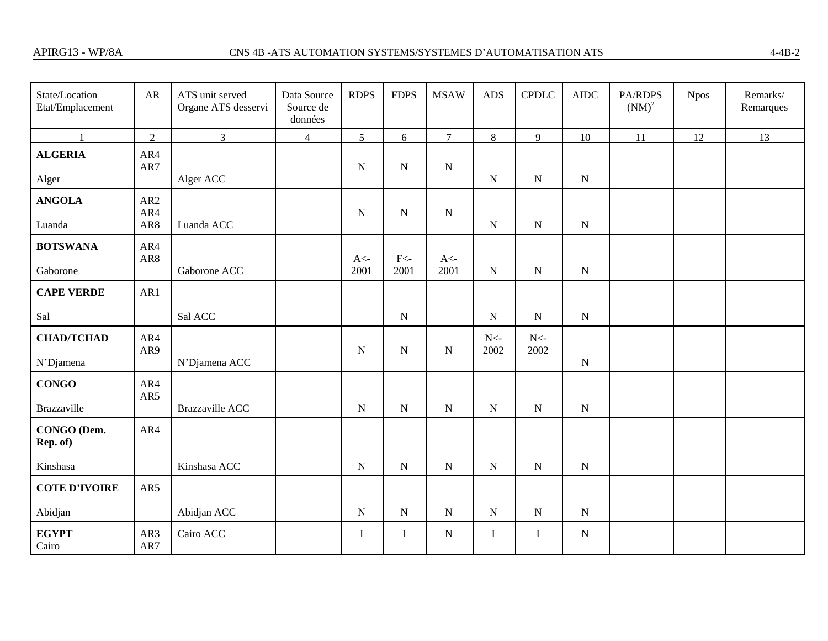| State/Location<br>Etat/Emplacement | AR                            | ATS unit served<br>Organe ATS desservi | Data Source<br>Source de<br>données | <b>RDPS</b>    | <b>FDPS</b>    | <b>MSAW</b>                         | <b>ADS</b>     | <b>CPDLC</b>   | <b>AIDC</b> | PA/RDPS<br>$(NM)^2$ | <b>Npos</b> | Remarks/<br>Remarques |
|------------------------------------|-------------------------------|----------------------------------------|-------------------------------------|----------------|----------------|-------------------------------------|----------------|----------------|-------------|---------------------|-------------|-----------------------|
| $\mathbf{1}$                       | 2                             | $\overline{3}$                         | $\overline{4}$                      | 5              | 6              | $\overline{7}$                      | 8              | 9              | 10          | 11                  | 12          | 13                    |
| <b>ALGERIA</b><br>Alger            | AR4<br>AR7                    | Alger ACC                              |                                     | ${\bf N}$      | ${\bf N}$      | ${\bf N}$                           | ${\bf N}$      | ${\bf N}$      | ${\bf N}$   |                     |             |                       |
| <b>ANGOLA</b><br>Luanda            | AR <sub>2</sub><br>AR4<br>AR8 | Luanda ACC                             |                                     | $\mathbf N$    | ${\bf N}$      | ${\bf N}$                           | ${\bf N}$      | ${\bf N}$      | ${\bf N}$   |                     |             |                       |
| <b>BOTSWANA</b><br>Gaborone        | AR4<br>AR8                    | Gaborone ACC                           |                                     | $A<$ -<br>2001 | $F<$ -<br>2001 | $A\mathopen{<}\mathopen{-}$<br>2001 | ${\bf N}$      | ${\bf N}$      | ${\bf N}$   |                     |             |                       |
| <b>CAPE VERDE</b>                  | AR1                           |                                        |                                     |                |                |                                     |                |                |             |                     |             |                       |
| Sal                                |                               | Sal ACC                                |                                     |                | ${\bf N}$      |                                     | ${\bf N}$      | ${\bf N}$      | $\mathbf N$ |                     |             |                       |
| <b>CHAD/TCHAD</b><br>N'Djamena     | AR4<br>AR9                    | N'Djamena ACC                          |                                     | ${\bf N}$      | ${\bf N}$      | ${\bf N}$                           | $N<$ -<br>2002 | $N<$ -<br>2002 | ${\bf N}$   |                     |             |                       |
| <b>CONGO</b><br><b>Brazzaville</b> | AR4<br>AR5                    | <b>Brazzaville ACC</b>                 |                                     | ${\bf N}$      | ${\bf N}$      | ${\bf N}$                           | ${\bf N}$      | ${\bf N}$      | ${\bf N}$   |                     |             |                       |
| CONGO (Dem.<br>Rep. of)            | AR4                           |                                        |                                     |                |                |                                     |                |                |             |                     |             |                       |
| Kinshasa                           |                               | Kinshasa ACC                           |                                     | ${\bf N}$      | ${\bf N}$      | ${\bf N}$                           | ${\bf N}$      | ${\bf N}$      | ${\bf N}$   |                     |             |                       |
| <b>COTE D'IVOIRE</b>               | AR5                           |                                        |                                     |                |                |                                     |                |                |             |                     |             |                       |
| Abidjan                            |                               | Abidjan ACC                            |                                     | ${\bf N}$      | ${\bf N}$      | ${\bf N}$                           | ${\bf N}$      | ${\bf N}$      | ${\bf N}$   |                     |             |                       |
| <b>EGYPT</b><br>Cairo              | AR3<br>AR7                    | Cairo ACC                              |                                     | Ι              | $\bf{I}$       | ${\bf N}$                           | $\mathbf I$    | $\mathbf I$    | ${\bf N}$   |                     |             |                       |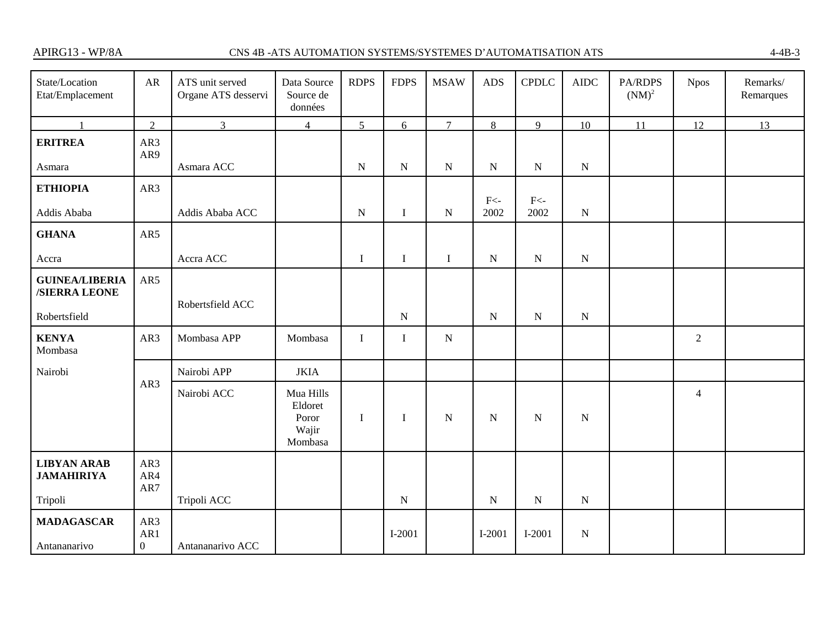# CNS 4B -ATS AUTOMATION SYSTEMS/SYSTEMES D'AUTOMATISATION ATS 4-4B-3

| State/Location<br>Etat/Emplacement      | ${\sf AR}$                   | ATS unit served<br>Organe ATS desservi | Data Source<br>Source de<br>données               | <b>RDPS</b> | <b>FDPS</b> | <b>MSAW</b>    | <b>ADS</b>        | <b>CPDLC</b> | ${\rm AIDC}$ | PA/RDPS<br>$(NM)^2$ | <b>Npos</b>    | Remarks/<br>Remarques |
|-----------------------------------------|------------------------------|----------------------------------------|---------------------------------------------------|-------------|-------------|----------------|-------------------|--------------|--------------|---------------------|----------------|-----------------------|
|                                         | $\overline{2}$               | $\overline{3}$                         | $\overline{4}$                                    | 5           | $\epsilon$  | $\overline{7}$ | 8                 | 9            | 10           | 11                  | 12             | 13                    |
| <b>ERITREA</b>                          | AR3<br>AR9                   |                                        |                                                   |             |             |                |                   |              |              |                     |                |                       |
| Asmara                                  |                              | Asmara ACC                             |                                                   | ${\bf N}$   | ${\bf N}$   | ${\bf N}$      | ${\bf N}$         | ${\bf N}$    | ${\bf N}$    |                     |                |                       |
| <b>ETHIOPIA</b>                         | AR3                          |                                        |                                                   |             |             |                | $\mbox{{\rm F}}<$ | $F<$ -       |              |                     |                |                       |
| Addis Ababa                             |                              | Addis Ababa ACC                        |                                                   | $\mathbf N$ | $\mathbf I$ | $\mathbf N$    | 2002              | 2002         | ${\bf N}$    |                     |                |                       |
| <b>GHANA</b>                            | AR5                          |                                        |                                                   |             |             |                |                   |              |              |                     |                |                       |
| Accra                                   |                              | Accra ACC                              |                                                   | $\mathbf I$ | $\mathbf I$ | $\mathbf I$    | ${\bf N}$         | ${\bf N}$    | $\mathbf N$  |                     |                |                       |
| <b>GUINEA/LIBERIA</b><br>/SIERRA LEONE  | AR5                          |                                        |                                                   |             |             |                |                   |              |              |                     |                |                       |
| Robertsfield                            |                              | Robertsfield ACC                       |                                                   |             | ${\bf N}$   |                | $\mathbf N$       | $\mathbf N$  | $\mathbf N$  |                     |                |                       |
| <b>KENYA</b><br>Mombasa                 | AR3                          | Mombasa APP                            | Mombasa                                           | $\mathbf I$ | $\mathbf I$ | ${\bf N}$      |                   |              |              |                     | $\overline{2}$ |                       |
| Nairobi                                 |                              | Nairobi APP                            | <b>JKIA</b>                                       |             |             |                |                   |              |              |                     |                |                       |
|                                         | AR3                          | Nairobi ACC                            | Mua Hills<br>Eldoret<br>Poror<br>Wajir<br>Mombasa | $\bf{I}$    | $\bf{I}$    | ${\bf N}$      | N                 | $\mathbf N$  | $\mathbf N$  |                     | $\overline{4}$ |                       |
| <b>LIBYAN ARAB</b><br><b>JAMAHIRIYA</b> | AR3<br>AR4<br>AR7            |                                        |                                                   |             |             |                |                   |              |              |                     |                |                       |
| Tripoli                                 |                              | Tripoli ACC                            |                                                   |             | ${\bf N}$   |                | ${\bf N}$         | $\mathbf N$  | ${\bf N}$    |                     |                |                       |
| <b>MADAGASCAR</b><br>Antananarivo       | AR3<br>AR1<br>$\overline{0}$ | Antananarivo ACC                       |                                                   |             | $I-2001$    |                | $I-2001$          | $I-2001$     | ${\bf N}$    |                     |                |                       |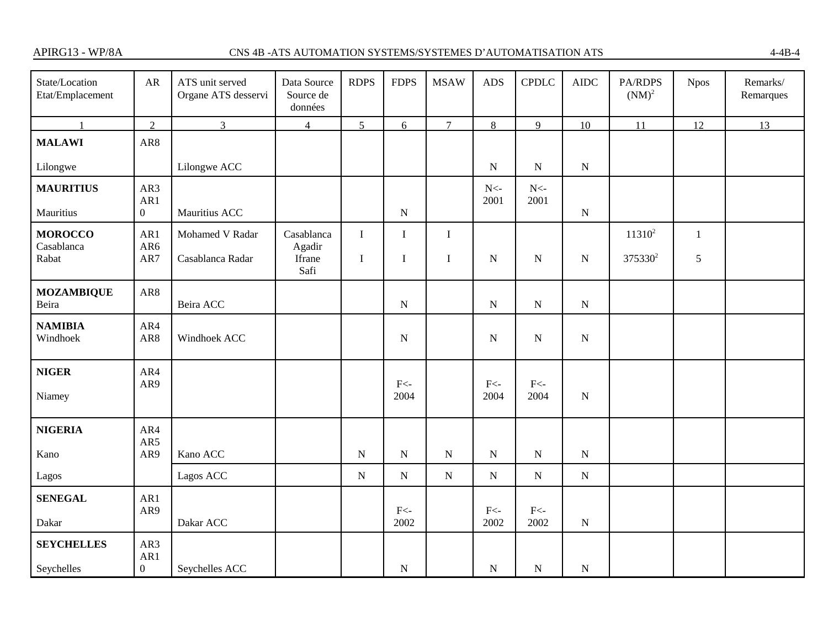# CNS 4B -ATS AUTOMATION SYSTEMS/SYSTEMES D'AUTOMATISATION ATS 4-4B-4

| State/Location<br>Etat/Emplacement | AR                           | ATS unit served<br>Organe ATS desservi | Data Source<br>Source de<br>données | <b>RDPS</b> | <b>FDPS</b>    | <b>MSAW</b>    | <b>ADS</b>                   | <b>CPDLC</b>                 | <b>AIDC</b> | PA/RDPS<br>$(NM)^2$ | <b>Npos</b>  | Remarks/<br>Remarques |
|------------------------------------|------------------------------|----------------------------------------|-------------------------------------|-------------|----------------|----------------|------------------------------|------------------------------|-------------|---------------------|--------------|-----------------------|
| $\mathbf{1}$                       | $\overline{2}$               | $\overline{3}$                         | $\overline{4}$                      | 5           | 6              | $\overline{7}$ | 8                            | 9                            | 10          | 11                  | 12           | 13                    |
| <b>MALAWI</b>                      | AR8                          |                                        |                                     |             |                |                |                              |                              |             |                     |              |                       |
| Lilongwe                           |                              | Lilongwe ACC                           |                                     |             |                |                | ${\bf N}$                    | ${\bf N}$                    | ${\bf N}$   |                     |              |                       |
| <b>MAURITIUS</b>                   | AR3<br>AR1                   |                                        |                                     |             |                |                | ${\rm N}$ -<br>2001          | ${\rm N} <$<br>2001          |             |                     |              |                       |
| Mauritius                          | $\overline{0}$               | Mauritius ACC                          |                                     |             | $\overline{N}$ |                |                              |                              | ${\bf N}$   |                     |              |                       |
| <b>MOROCCO</b><br>Casablanca       | AR1<br>AR6                   | Mohamed V Radar                        | Casablanca<br>Agadir                | $\bf I$     | $\rm I$        | $\bf I$        |                              |                              |             | $11310^2$           | $\mathbf{1}$ |                       |
| Rabat                              | AR7                          | Casablanca Radar                       | Ifrane<br>Safi                      | $\mathbf I$ | $\bf{I}$       | $\bf I$        | $\mathbf N$                  | N                            | ${\bf N}$   | 375330 <sup>2</sup> | $\sqrt{5}$   |                       |
| <b>MOZAMBIQUE</b><br>Beira         | AR8                          | Beira ACC                              |                                     |             | ${\bf N}$      |                | $\mathbf N$                  | $\mathbf N$                  | $\mathbf N$ |                     |              |                       |
| <b>NAMIBIA</b><br>Windhoek         | AR4<br>AR8                   | Windhoek ACC                           |                                     |             | ${\bf N}$      |                | $\mathbf N$                  | N                            | $\mathbf N$ |                     |              |                       |
| <b>NIGER</b><br>Niamey             | AR4<br>AR9                   |                                        |                                     |             | $F<$ -<br>2004 |                | $\mbox{F}\mbox{<}$ -<br>2004 | $\mbox{F}\mbox{<}$ -<br>2004 | $\mathbf N$ |                     |              |                       |
| <b>NIGERIA</b>                     | AR4                          |                                        |                                     |             |                |                |                              |                              |             |                     |              |                       |
| Kano                               | AR5<br>AR9                   | Kano ACC                               |                                     | ${\bf N}$   | ${\bf N}$      | ${\bf N}$      | ${\bf N}$                    | ${\bf N}$                    | ${\bf N}$   |                     |              |                       |
| Lagos                              |                              | Lagos ACC                              |                                     | ${\bf N}$   | ${\bf N}$      | ${\bf N}$      | ${\bf N}$                    | ${\bf N}$                    | ${\bf N}$   |                     |              |                       |
| <b>SENEGAL</b>                     | AR1<br>AR9                   |                                        |                                     |             | $F<$ -         |                | $F<$ -                       | $F<$ -                       |             |                     |              |                       |
| Dakar                              |                              | Dakar ACC                              |                                     |             | 2002           |                | 2002                         | 2002                         | ${\bf N}$   |                     |              |                       |
| <b>SEYCHELLES</b><br>Seychelles    | AR3<br>AR1<br>$\overline{0}$ | Seychelles ACC                         |                                     |             | ${\bf N}$      |                | $\mathbf N$                  | ${\bf N}$                    | $\mathbf N$ |                     |              |                       |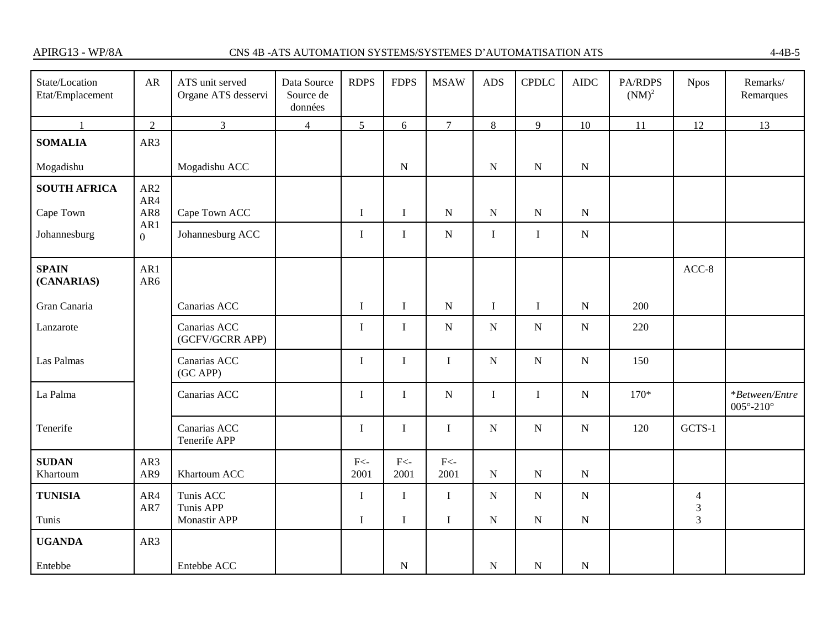## CNS 4B -ATS AUTOMATION SYSTEMS/SYSTEMES D'AUTOMATISATION ATS 4-4B-5

| State/Location<br>Etat/Emplacement | ${\sf AR}$             | ATS unit served<br>Organe ATS desservi | Data Source<br>Source de<br>données | <b>RDPS</b>    | <b>FDPS</b>                 | <b>MSAW</b>    | <b>ADS</b>  | <b>CPDLC</b> | ${\sf AIDC}$ | PA/RDPS<br>$(NM)^2$ | <b>Npos</b>                     | Remarks/<br>Remarques                     |
|------------------------------------|------------------------|----------------------------------------|-------------------------------------|----------------|-----------------------------|----------------|-------------|--------------|--------------|---------------------|---------------------------------|-------------------------------------------|
|                                    | $\overline{2}$         | $\overline{3}$                         | $\overline{4}$                      | 5              | 6                           | $\overline{7}$ | 8           | 9            | 10           | 11                  | 12                              | 13                                        |
| <b>SOMALIA</b>                     | AR3                    |                                        |                                     |                |                             |                |             |              |              |                     |                                 |                                           |
| Mogadishu                          |                        | Mogadishu ACC                          |                                     |                | ${\bf N}$                   |                | ${\bf N}$   | $\mathbf N$  | $\mathbf N$  |                     |                                 |                                           |
| <b>SOUTH AFRICA</b>                | AR <sub>2</sub><br>AR4 |                                        |                                     |                |                             |                |             |              |              |                     |                                 |                                           |
| Cape Town                          | AR8                    | Cape Town ACC                          |                                     | I              | $\mathbf I$                 | ${\bf N}$      | ${\bf N}$   | ${\bf N}$    | ${\bf N}$    |                     |                                 |                                           |
| Johannesburg                       | AR1<br>$\overline{0}$  | Johannesburg ACC                       |                                     | I              | $\mathbf I$                 | ${\bf N}$      | $\mathbf I$ | $\bf{I}$     | ${\bf N}$    |                     |                                 |                                           |
| <b>SPAIN</b><br>(CANARIAS)         | AR1<br>AR6             |                                        |                                     |                |                             |                |             |              |              |                     | $ACC-8$                         |                                           |
| Gran Canaria                       |                        | Canarias ACC                           |                                     | $\mathbf I$    | $\mathbf I$                 | ${\bf N}$      | $\mathbf I$ | $\bf{I}$     | ${\bf N}$    | 200                 |                                 |                                           |
| Lanzarote                          |                        | Canarias ACC<br>(GCFV/GCRR APP)        |                                     | I              | $\bf{I}$                    | ${\bf N}$      | ${\bf N}$   | ${\bf N}$    | ${\bf N}$    | 220                 |                                 |                                           |
| Las Palmas                         |                        | Canarias ACC<br>(GC APP)               |                                     | I              | $\rm I$                     | $\mathbf I$    | ${\bf N}$   | $\mathbf N$  | ${\bf N}$    | 150                 |                                 |                                           |
| La Palma                           |                        | Canarias ACC                           |                                     | I              | $\mathbf I$                 | ${\bf N}$      | I           | $\bf{I}$     | ${\bf N}$    | $170*$              |                                 | *Between/Entre<br>$005^\circ - 210^\circ$ |
| Tenerife                           |                        | Canarias ACC<br>Tenerife APP           |                                     | $\mathbf I$    | $\rm I$                     | $\mathbf I$    | ${\bf N}$   | $\mathbf N$  | ${\bf N}$    | 120                 | GCTS-1                          |                                           |
| <b>SUDAN</b><br>Khartoum           | AR3<br>AR9             | Khartoum ACC                           |                                     | $F<$ -<br>2001 | $\mbox{{\sc F}}<$ -<br>2001 | $F<$ -<br>2001 | ${\bf N}$   | ${\bf N}$    | ${\bf N}$    |                     |                                 |                                           |
| <b>TUNISIA</b>                     | AR4<br>AR7             | Tunis ACC<br>Tunis APP                 |                                     | $\mathbf I$    | $\mathbf I$                 | $\rm I$        | ${\bf N}$   | ${\bf N}$    | $\mathbf N$  |                     | $\overline{4}$<br>$\mathfrak 3$ |                                           |
| Tunis                              |                        | Monastir APP                           |                                     | $\mathbf I$    | $\bf I$                     | $\bf I$        | ${\bf N}$   | ${\bf N}$    | ${\bf N}$    |                     | $\overline{3}$                  |                                           |
| <b>UGANDA</b>                      | AR3                    |                                        |                                     |                |                             |                |             |              |              |                     |                                 |                                           |
| Entebbe                            |                        | Entebbe ACC                            |                                     |                | ${\bf N}$                   |                | ${\bf N}$   | ${\bf N}$    | ${\bf N}$    |                     |                                 |                                           |